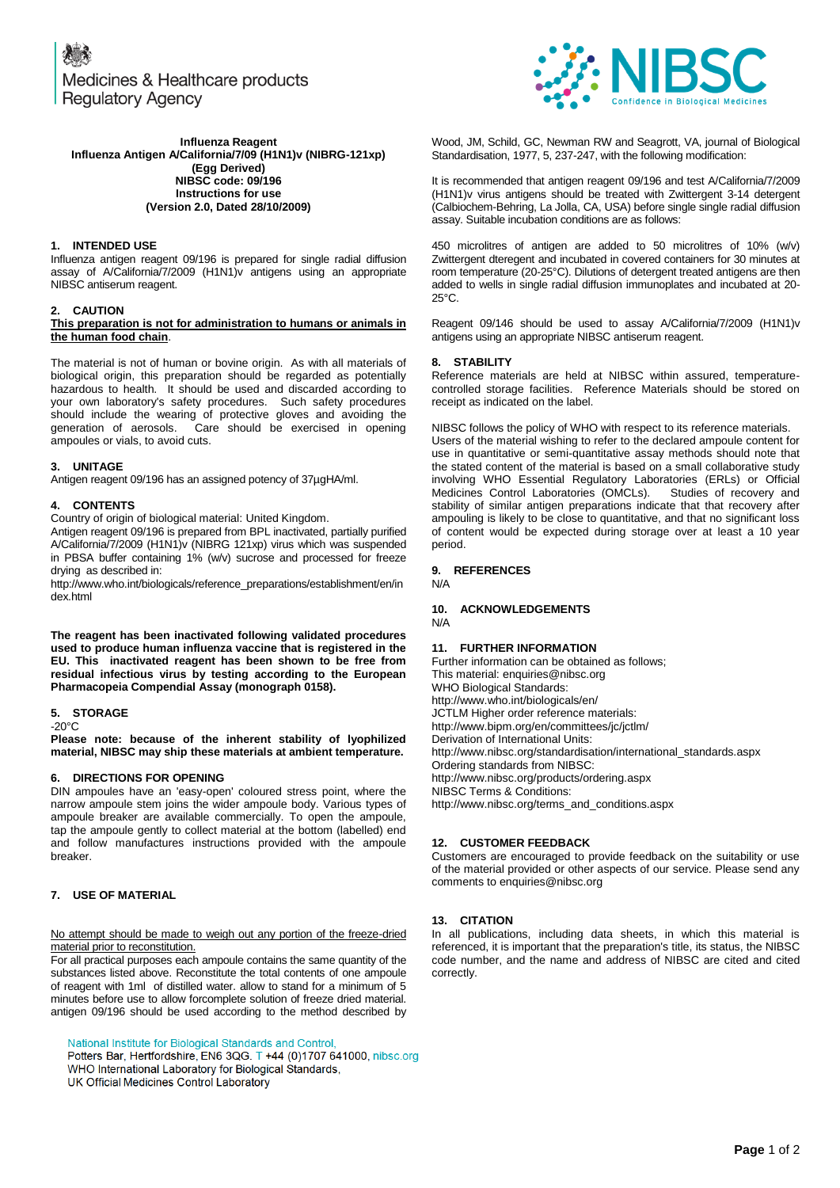Medicines & Healthcare products **Regulatory Agency** 



#### **Influenza Reagent Influenza Antigen A/California/7/09 (H1N1)v (NIBRG-121xp) (Egg Derived) NIBSC code: 09/196 Instructions for use (Version 2.0, Dated 28/10/2009)**

### **1. INTENDED USE**

Influenza antigen reagent 09/196 is prepared for single radial diffusion assay of A/California/7/2009 (H1N1)v antigens using an appropriate NIBSC antiserum reagent.

#### **2. CAUTION**

#### **This preparation is not for administration to humans or animals in the human food chain**.

The material is not of human or bovine origin. As with all materials of biological origin, this preparation should be regarded as potentially hazardous to health. It should be used and discarded according to your own laboratory's safety procedures. Such safety procedures should include the wearing of protective gloves and avoiding the generation of aerosols. Care should be exercised in opening Care should be exercised in opening ampoules or vials, to avoid cuts.

#### **3. UNITAGE**

Antigen reagent 09/196 has an assigned potency of 37µgHA/ml.

#### **4. CONTENTS**

Country of origin of biological material: United Kingdom.

Antigen reagent 09/196 is prepared from BPL inactivated, partially purified A/California/7/2009 (H1N1)v (NIBRG 121xp) virus which was suspended in PBSA buffer containing 1% (w/v) sucrose and processed for freeze drying as described in:

http://www.who.int/biologicals/reference\_preparations/establishment/en/in dex.html

**The reagent has been inactivated following validated procedures used to produce human influenza vaccine that is registered in the EU. This inactivated reagent has been shown to be free from residual infectious virus by testing according to the European Pharmacopeia Compendial Assay (monograph 0158).**

#### **5. STORAGE**

 $-20^{\circ}$ C

**Please note: because of the inherent stability of lyophilized material, NIBSC may ship these materials at ambient temperature.**

#### **6. DIRECTIONS FOR OPENING**

DIN ampoules have an 'easy-open' coloured stress point, where the narrow ampoule stem joins the wider ampoule body. Various types of ampoule breaker are available commercially. To open the ampoule, tap the ampoule gently to collect material at the bottom (labelled) end and follow manufactures instructions provided with the ampoule breaker.

#### **7. USE OF MATERIAL**

#### No attempt should be made to weigh out any portion of the freeze-dried material prior to reconstitution.

For all practical purposes each ampoule contains the same quantity of the substances listed above. Reconstitute the total contents of one ampoule of reagent with 1ml of distilled water. allow to stand for a minimum of 5 minutes before use to allow forcomplete solution of freeze dried material. antigen 09/196 should be used according to the method described by

National Institute for Biological Standards and Control,

Potters Bar, Hertfordshire, EN6 3QG. T +44 (0)1707 641000, nibsc.org WHO International Laboratory for Biological Standards, UK Official Medicines Control Laboratory

Wood, JM, Schild, GC, Newman RW and Seagrott, VA, journal of Biological Standardisation, 1977, 5, 237-247, with the following modification:

It is recommended that antigen reagent 09/196 and test A/California/7/2009 (H1N1)v virus antigens should be treated with Zwittergent 3-14 detergent (Calbiochem-Behring, La Jolla, CA, USA) before single single radial diffusion assay. Suitable incubation conditions are as follows:

450 microlitres of antigen are added to 50 microlitres of 10% (w/v) Zwittergent dteregent and incubated in covered containers for 30 minutes at room temperature (20-25°C). Dilutions of detergent treated antigens are then added to wells in single radial diffusion immunoplates and incubated at 20- 25°C.

Reagent 09/146 should be used to assay A/California/7/2009 (H1N1)v antigens using an appropriate NIBSC antiserum reagent.

#### **8. STABILITY**

Reference materials are held at NIBSC within assured, temperaturecontrolled storage facilities. Reference Materials should be stored on receipt as indicated on the label.

NIBSC follows the policy of WHO with respect to its reference materials. Users of the material wishing to refer to the declared ampoule content for use in quantitative or semi-quantitative assay methods should note that the stated content of the material is based on a small collaborative study involving WHO Essential Regulatory Laboratories (ERLs) or Official Medicines Control Laboratories (OMCLs). Studies of recovery and stability of similar antigen preparations indicate that that recovery after ampouling is likely to be close to quantitative, and that no significant loss of content would be expected during storage over at least a 10 year period.

#### **9. REFERENCES**

N/A

#### **10. ACKNOWLEDGEMENTS** N/A

#### **11. FURTHER INFORMATION**

Further information can be obtained as follows; This material[: enquiries@nibsc.org](mailto:enquiries@nibsc.org) WHO Biological Standards: <http://www.who.int/biologicals/en/> JCTLM Higher order reference materials: <http://www.bipm.org/en/committees/jc/jctlm/> Derivation of International Units: [http://www.nibsc.org/standardisation/international\\_standards.aspx](http://www.nibsc.org/standardisation/international_standards.aspx) Ordering standards from NIBSC: <http://www.nibsc.org/products/ordering.aspx> NIBSC Terms & Conditions: [http://www.nibsc.org/terms\\_and\\_conditions.aspx](http://www.nibsc.ac.uk/terms_and_conditions.aspx)

#### **12. CUSTOMER FEEDBACK**

Customers are encouraged to provide feedback on the suitability or use of the material provided or other aspects of our service. Please send any comments t[o enquiries@nibsc.org](mailto:enquiries@nibsc.org)

#### **13. CITATION**

In all publications, including data sheets, in which this material is referenced, it is important that the preparation's title, its status, the NIBSC code number, and the name and address of NIBSC are cited and cited correctly.